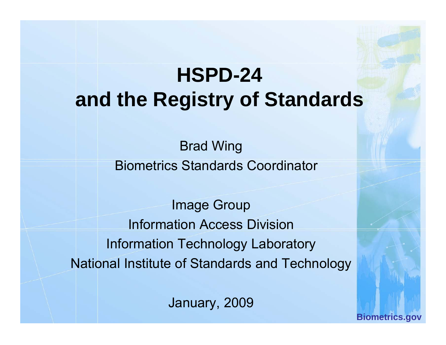# **HSPD-24 and the Registry of Standards**

Brad Wing Biometrics Standards Coordinator

Image Group Information Access DivisionInformation Technology Laboratory National Institute of Standards and Technology

January, 2009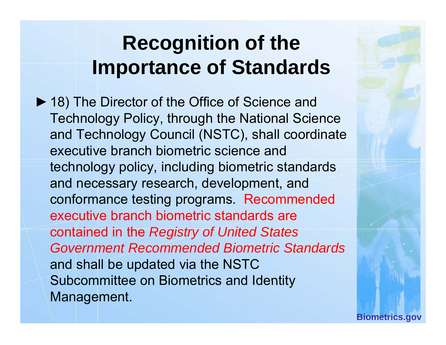## **Recognition of the Importance of Standards**

▶ 18) The Director of the Office of Science and Technology Policy, through the National Science and Technology Council (NSTC), shall coordinate executive branch biometric science and technology policy, including biometric standards and necessary research, development, and conformance testing programs. Recommended executive branch biometric standards are contained in the *Re g y istr of Unite d States Government Recommended Biometric Standards*  and shall be updated via the NSTC Subcommittee on Biometrics and Identity Management.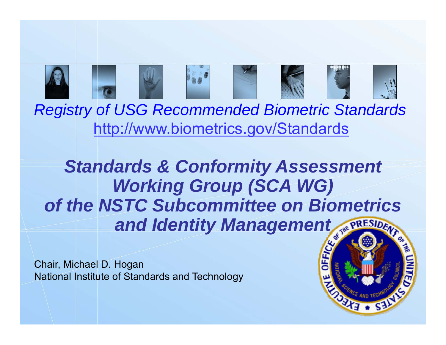

*Registry of USG Recommended Biometric Standards USG* http://www.biometrics.gov/Standards

## *Standards & Conformity Assessment Workin g p( ) Group (SCA WG) of the NSTC Subcommittee on Biometrics and Identity Management*

**Biometrics.gov**

Chair, Michael D. Hogan National Institute of Standards and Technology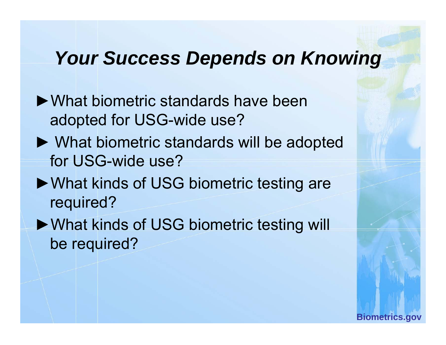#### *Your Success Depends on Knowing*

- ►What biometric standards have been adopted for USG-wide use?
- ► What biometric standards will be ado pted for USG-wide use?
- ►What kinds of USG biometric testing are required?
- ►What kinds of USG biometric testing will be required?

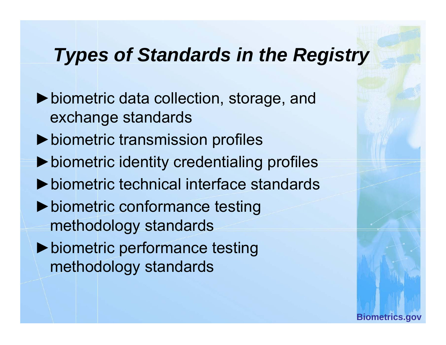#### *Types of Standards in the Registry*

►biometric data collection, storage, and exchange standards ►biometric transmission profiles ►biometric identity credentialing profiles ►biometric technical interface standards▶ biometric conformance testing methodology standards ▶ biometric performance testing methodology standards

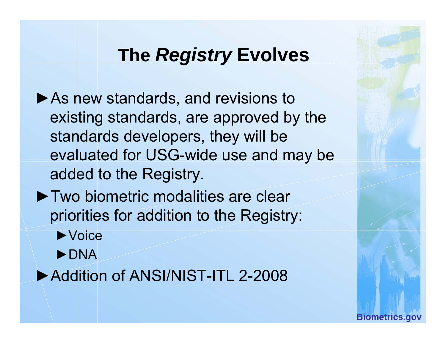### **The** *Registry* **Evolves**

- ▶As new standards, and revisions to existing standards, are approved by the standards developers, they will be evaluated for USG-wide use and may be added to the Registry.
- ▶ Two biometric modalities are clear priorities for addition to the Registry:
	- ►Voice
	- ►DNA

► Addition of ANSI/NIST-ITL 2-2008

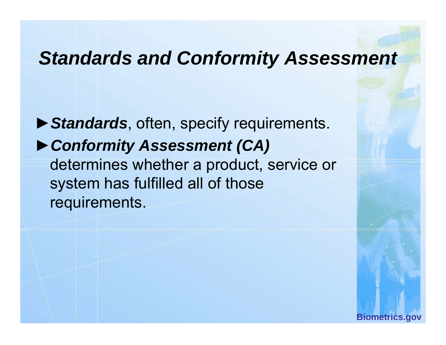#### *Standards and Conformity Assessment*

►*Standards*, often, specify requirements. ►*Conformity Assessment (CA)* determines whether a product, service or system has fulfilled all of those requirements.

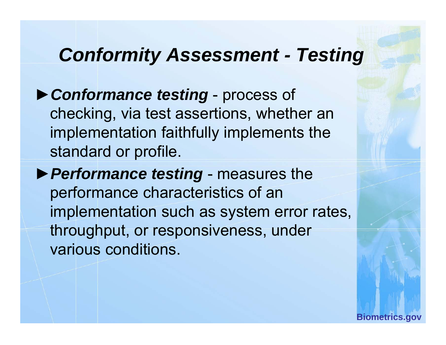#### *Conformity Assessment - Testing*

- ►*Conformance testing* process of checking, via test assertions, whether an implementation faithfully implements the standard or profile.
- ►*Performance testing* measures the performance characteristics of an implementation such as system error rates, throughput, or responsiveness, under various conditions.

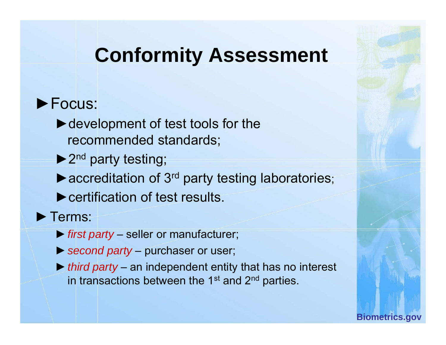## **Conformity Assessment**

#### ►Focus:

 $\blacktriangleright$  development of test tools for the recommended standards;

 $\blacktriangleright$  2<sup>nd</sup> party testing;

 $\blacktriangleright$  accreditation of 3<sup>rd</sup> party testing laboratories;

 $\blacktriangleright$  certification of test results.

►Terms:

- ►*first party* – seller or manufacturer;
- ►*second party* purchaser or user;
- ►*third party* an independent entity that has no interest in transactions between the 1<sup>st</sup> and 2<sup>nd</sup> parties.

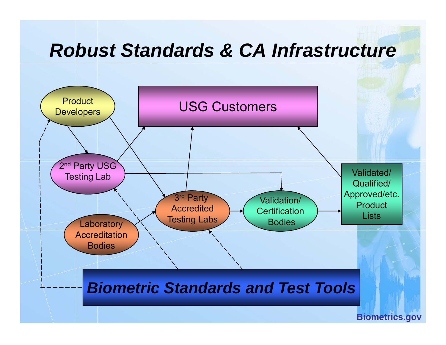#### *Robust Standards & CA Infrastructure*

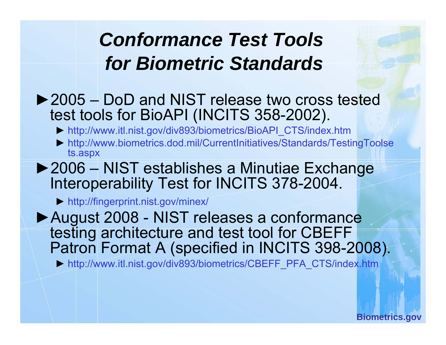## *Conformance Test Tools for Biometric Standards Standards*

- ► 2005 DoD and NIST release two cross tested test tools for BioAPI (INCITS 358-2002).
	- ► http://www.itl.nist.gov/div893/biometrics/BioAPI\_CTS/index.htm
	- ► http://www.biometrics.dod.mil/CurrentInitiatives/Standards/TestingToolse ts.aspx
- ►2006 NIST establishes a Minutiae Exchange Interoperability Test for INCITS 378-2004.
	- ► http://fingerprint.nist.gov/minex/

►August 2008 - NIST releases a conformance testing architecture and test tool for CBEFF Patron Format A (specified in INCITS 398-2008).

► http://www.itl.nist.gov/div893/biometrics/CBEFF\_PFA\_CTS/index.htm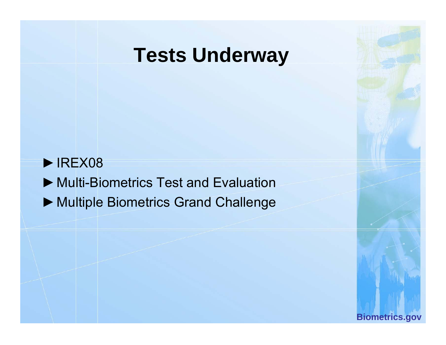## **Tests Underwa y**

 $\blacktriangleright$  IREX08 ►Multi-Biometrics Test and Evaluation ▶ Multiple Biometrics Grand Challenge

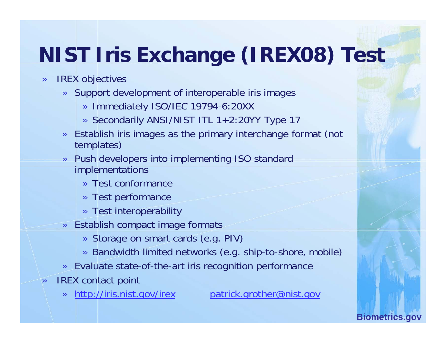# **NIST Iris Exchange (IREX08) Test**

- » IREX objectives
	- » Support development of interoperable iris images
		- » Immediately ISO/IEC 19794-6:20XX
		- » Secondarily ANSI/NIST ITL 1+2:20YY Type 17
	- » Establish iris images as the primary interchange format (not templates)
	- » Push developers into implementing ISO standard implementations
		- » Test conformance
		- » Test performance
		- » Test interoperability
	- » Establish compact image formats
		- » Storage on smart cards (e.g. PIV)
		- » Bandwidth limited networks (e.g. ship-to-shore, mobile)
	- » Evaluate state-of-the-art iris recognition performance
- » IREX contact point

»

»

http://iris.nist.gov/irex patrick.grother@nist.gov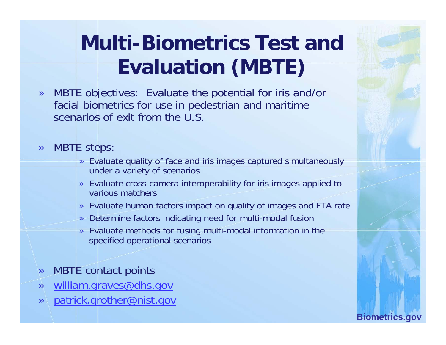# **Multi-Biometrics Test and Evaluation (MBTE)**

- » MBTE objectives: Evaluate the potential for iris and/or facial biometrics for use in pedestrian and maritime scenarios of exit from the U.S.
- » MBTE steps:
	- » Evaluate quality of face and iris images captured simultaneously under a variety of scenarios
	- » Evaluate cross-camera interoperability for iris images applied to various matchers
	- » Evaluate human factors impact on quality of images and FTA rate
	- » Determine factors indicating need for multi-modal fusion
	- » Evaluate methods for fusing multi-modal information in the specified operational scenarios
- »MBTE contact points
- <u>william.graves@dhs.gov</u> »
- »patrick.grother@nist.gov

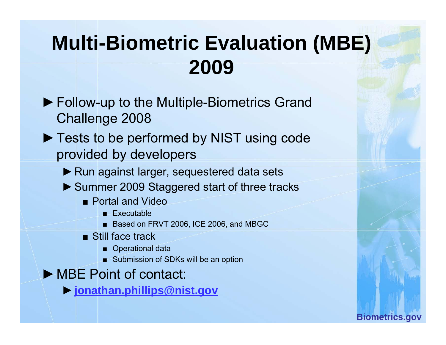## **Multi-Biometric Evaluation (MBE) 2009**

- ▶ Follow-up to the Multiple-Biometrics Grand Challenge 2008
- ► Tests to be performed by NIST using code provided by developers
	- ▶ Run against larger, sequestered data sets
	- ► Summer 2009 Staggered start of three tracks
		- Portal and Video
			- Executable
			- Based on FRVT 2006, ICE 2006, and MBGC
		- Still face track
			- Operational data
			- Submission of SDKs will be an option
- ►MBE Point of contact:
	- ►**jonathan.phillips@nist.gov**

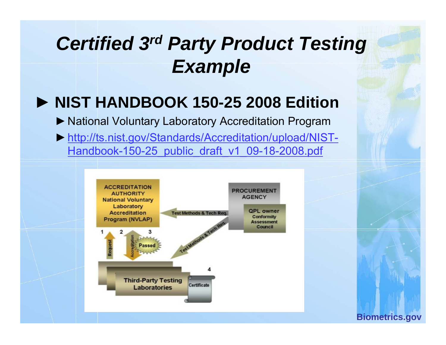## *Certified 3rd Party Product Testing Example*

#### ► **NIST HANDBOOK 150 150-25 2008 Edition 25 2008**

- ▶ National Voluntary Laboratory Accreditation Program
- ►http://ts.nist.gov/Standards/Accreditation/upload/NIST-Handbook-150-25 public draft v1 09-18-2008.pdf

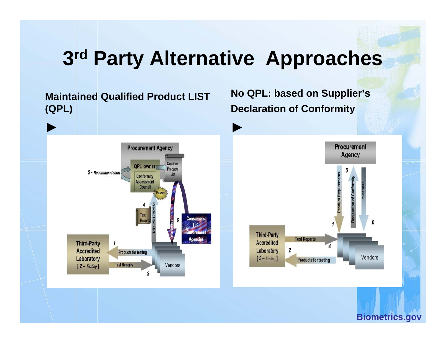## **3rd Party Alternative Approaches**

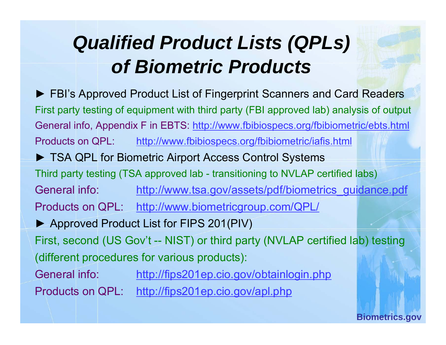# *Qualified Product Lists (QPLs) of Biometric Products*

► FBI's Approved Product List of Fingerprint Scanners and Card Readers First party testing of equipment with third party (FBI approved lab) analysis of output General info, Appendix F in EBTS: http://www.fbibiospecs.org/fbibiometric/ebts.html Products on QPL: http://www.fbibiospecs.org/fbibiometric/iafis.html ► TSA QPL for Biometric Airport Access Control Systems Third party testing (TSA approved lab - transitioning to NVLAP certified labs) General info:: <u>http://www.tsa.gov/assets/pdf/biometrics\_guidance.pdf</u> Products on QPL: http://www.biometricgroup.com/QPL/ ► Approved Product List for FIPS 201(PIV) First, second (US Gov't -- NIST) or third party (NVLAP certified lab) testing (different procedures for various products): General info: http://fips201ep.cio.gov/obtainlogin.php Products on QPL: http://fips201ep.cio.gov/apl.php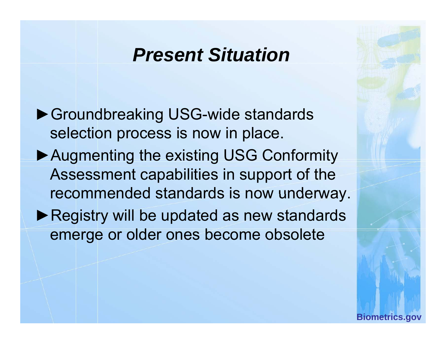#### *Present Situation*

▶Groundbreaking USG-wide standards selection process is now in place.

- ▶ Augmenting the existing USG Conformity Assessment capabilities in support of the recommended standards is now underway.
- ▶ Registry will be updated as new standards emerge or older ones become obsolete